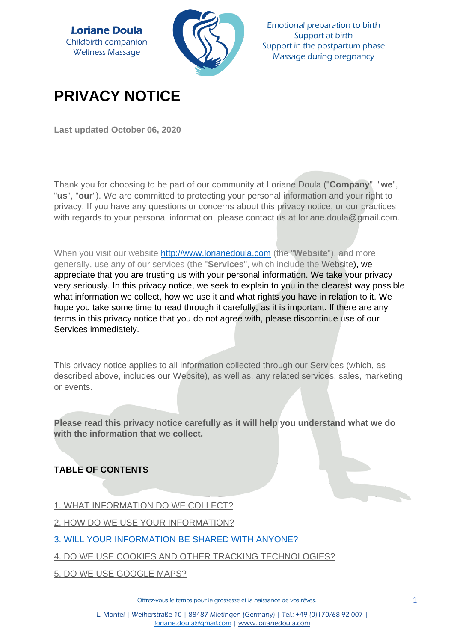

Emotional preparation to birth Support at birth Support in the postpartum phase Massage during pregnancy

# **PRIVACY NOTICE**

**Last updated October 06, 2020**

Thank you for choosing to be part of our community at Loriane Doula ("**Company**", "**we**", "**us**", "**our**"). We are committed to protecting your personal information and your right to privacy. If you have any questions or concerns about this privacy notice, or our practices with regards to your personal information, please contact us at loriane.doula@gmail.com.

When you visit our website [http://www.lorianedoula.com](http://www.lorianedoula.com/) (the "**Website**"), and more generally, use any of our services (the "**Services**", which include the Website), we appreciate that you are trusting us with your personal information. We take your privacy very seriously. In this privacy notice, we seek to explain to you in the clearest way possible what information we collect, how we use it and what rights you have in relation to it. We hope you take some time to read through it carefully, as it is important. If there are any terms in this privacy notice that you do not agree with, please discontinue use of our Services immediately.

This privacy notice applies to all information collected through our Services (which, as described above, includes our Website), as well as, any related services, sales, marketing or events.

**Please read this privacy notice carefully as it will help you understand what we do with the information that we collect.**

# **TABLE OF CONTENTS**

- [1. WHAT INFORMATION DO WE COLLECT?](https://app.termly.io/dashboard/website/604943/privacy-policy#infocollect)
- [2. HOW DO WE USE YOUR INFORMATION?](https://app.termly.io/dashboard/website/604943/privacy-policy#infouse)
- [3. WILL YOUR INFORMATION BE SHARED WITH ANYONE?](https://app.termly.io/dashboard/website/604943/privacy-policy#infoshare)
- [4. DO WE USE COOKIES AND OTHER TRACKING TECHNOLOGIES?](https://app.termly.io/dashboard/website/604943/privacy-policy#cookies)
- [5. DO WE USE GOOGLE MAPS?](https://app.termly.io/dashboard/website/604943/privacy-policy#googlemaps)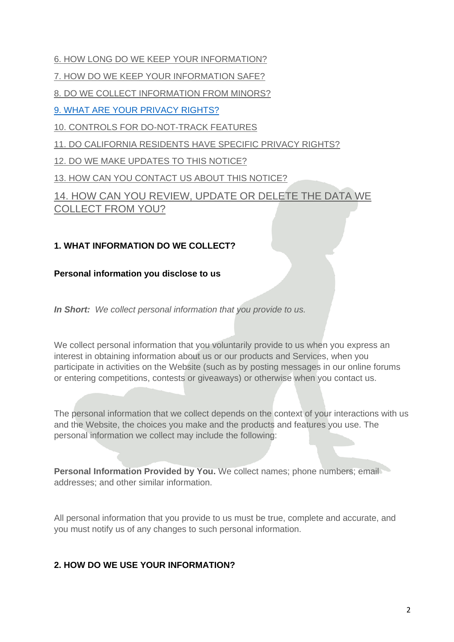- 6. HOW LONG DO [WE KEEP YOUR INFORMATION?](https://app.termly.io/dashboard/website/604943/privacy-policy#inforetain)
- [7. HOW DO WE KEEP YOUR INFORMATION SAFE?](https://app.termly.io/dashboard/website/604943/privacy-policy#infosafe)
- 8. [DO WE COLLECT INFORMATION FROM MINORS?](https://app.termly.io/dashboard/website/604943/privacy-policy#infominors)
- [9. WHAT ARE YOUR PRIVACY RIGHTS?](https://app.termly.io/dashboard/website/604943/privacy-policy#privacyrights)
- [10. CONTROLS FOR DO-NOT-TRACK FEATURES](https://app.termly.io/dashboard/website/604943/privacy-policy#DNT)
- [11. DO CALIFORNIA RESIDENTS HAVE SPECIFIC PRIVACY RIGHTS?](https://app.termly.io/dashboard/website/604943/privacy-policy#caresidents)
- [12. DO WE MAKE UPDATES TO THIS NOTICE?](https://app.termly.io/dashboard/website/604943/privacy-policy#policyupdates)
- [13. HOW CAN YOU CONTACT US ABOUT THIS NOTICE?](https://app.termly.io/dashboard/website/604943/privacy-policy#contact)

[14. HOW CAN YOU REVIEW, UPDATE OR DELETE THE DATA WE](https://app.termly.io/dashboard/website/604943/privacy-policy#request)  [COLLECT FROM YOU?](https://app.termly.io/dashboard/website/604943/privacy-policy#request)

# **1. WHAT INFORMATION DO WE COLLECT?**

### **Personal information you disclose to us**

*In Short: We collect personal information that you provide to us.*

We collect personal information that you voluntarily provide to us when you express an interest in obtaining information about us or our products and Services, when you participate in activities on the Website (such as by posting messages in our online forums or entering competitions, contests or giveaways) or otherwise when you contact us.

The personal information that we collect depends on the context of your interactions with us and the Website, the choices you make and the products and features you use. The personal information we collect may include the following:

**Personal Information Provided by You.** We collect names; phone numbers; email addresses; and other similar information.

All personal information that you provide to us must be true, complete and accurate, and you must notify us of any changes to such personal information.

# **2. HOW DO WE USE YOUR INFORMATION?**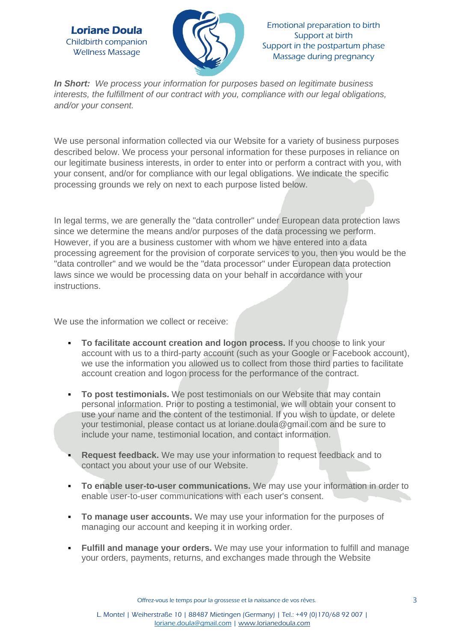

Emotional preparation to birth Support at birth Support in the postpartum phase Massage during pregnancy

*In Short: We process your information for purposes based on legitimate business interests, the fulfillment of our contract with you, compliance with our legal obligations, and/or your consent.*

We use personal information collected via our Website for a variety of business purposes described below. We process your personal information for these purposes in reliance on our legitimate business interests, in order to enter into or perform a contract with you, with your consent, and/or for compliance with our legal obligations. We indicate the specific processing grounds we rely on next to each purpose listed below.

In legal terms, we are generally the "data controller" under European data protection laws since we determine the means and/or purposes of the data processing we perform. However, if you are a business customer with whom we have entered into a data processing agreement for the provision of corporate services to you, then you would be the "data controller" and we would be the "data processor" under European data protection laws since we would be processing data on your behalf in accordance with your instructions.

We use the information we collect or receive:

- **To facilitate account creation and logon process.** If you choose to link your account with us to a third-party account (such as your Google or Facebook account), we use the information you allowed us to collect from those third parties to facilitate account creation and logon process for the performance of the contract.
- **To post testimonials.** We post testimonials on our Website that may contain personal information. Prior to posting a testimonial, we will obtain your consent to use your name and the content of the testimonial. If you wish to update, or delete your testimonial, please contact us at loriane.doula@gmail.com and be sure to include your name, testimonial location, and contact information.
- **Request feedback.** We may use your information to request feedback and to contact you about your use of our Website.
- **To enable user-to-user communications.** We may use your information in order to enable user-to-user communications with each user's consent.
- **To manage user accounts.** We may use your information for the purposes of managing our account and keeping it in working order.
- **Eulfill and manage your orders.** We may use your information to fulfill and manage your orders, payments, returns, and exchanges made through the Website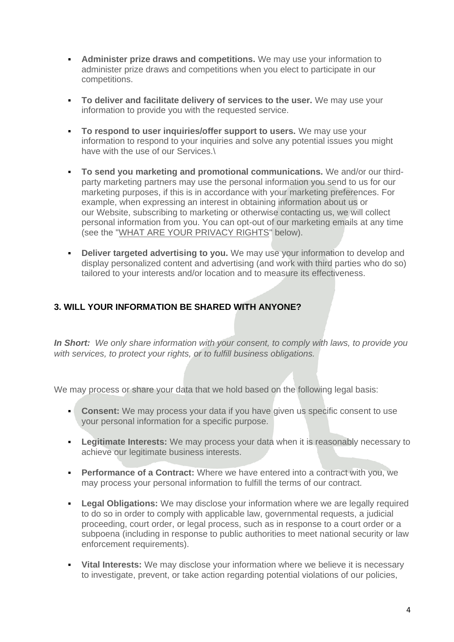- **EXEDENT Administer prize draws and competitions.** We may use your information to administer prize draws and competitions when you elect to participate in our competitions.
- **To deliver and facilitate delivery of services to the user.** We may use your information to provide you with the requested service.
- **To respond to user inquiries/offer support to users.** We may use your information to respond to your inquiries and solve any potential issues you might have with the use of our Services.\
- **To send you marketing and promotional communications.** We and/or our thirdparty marketing partners may use the personal information you send to us for our marketing purposes, if this is in accordance with your marketing preferences. For example, when expressing an interest in obtaining information about us or our Website, subscribing to marketing or otherwise contacting us, we will collect personal information from you. You can opt-out of our marketing emails at any time (see the ["WHAT ARE YOUR PRIVACY RIGHTS"](https://app.termly.io/dashboard/website/604943/privacy-policy#privacyrights) below).
- **Deliver targeted advertising to you.** We may use your information to develop and display personalized content and advertising (and work with third parties who do so) tailored to your interests and/or location and to measure its effectiveness.

## **3. WILL YOUR INFORMATION BE SHARED WITH ANYONE?**

*In Short: We only share information with your consent, to comply with laws, to provide you with services, to protect your rights, or to fulfill business obligations.*

We may process or share your data that we hold based on the following legal basis:

- **Consent:** We may process your data if you have given us specific consent to use your personal information for a specific purpose.
- **Egitimate Interests:** We may process your data when it is reasonably necessary to achieve our legitimate business interests.
- **Performance of a Contract:** Where we have entered into a contract with you, we may process your personal information to fulfill the terms of our contract.
- **Egal Obligations:** We may disclose your information where we are legally required to do so in order to comply with applicable law, governmental requests, a judicial proceeding, court order, or legal process, such as in response to a court order or a subpoena (including in response to public authorities to meet national security or law enforcement requirements).
- **EXTERN INTERVIERS:** We may disclose your information where we believe it is necessary to investigate, prevent, or take action regarding potential violations of our policies,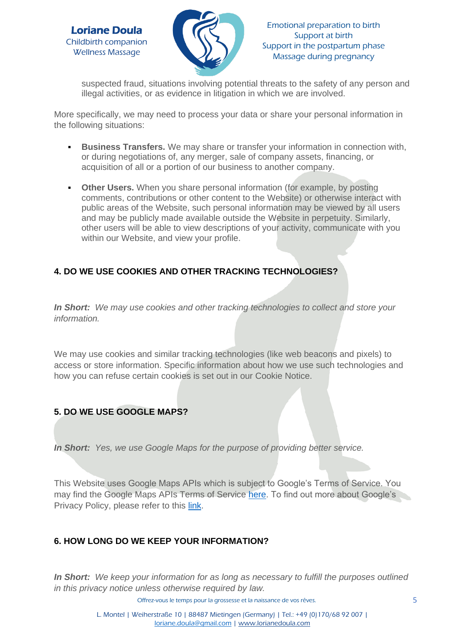



suspected fraud, situations involving potential threats to the safety of any person and illegal activities, or as evidence in litigation in which we are involved.

More specifically, we may need to process your data or share your personal information in the following situations:

- **EUSINESS Transfers.** We may share or transfer your information in connection with, or during negotiations of, any merger, sale of company assets, financing, or acquisition of all or a portion of our business to another company.
- **Other Users.** When you share personal information (for example, by posting comments, contributions or other content to the Website) or otherwise interact with public areas of the Website, such personal information may be viewed by all users and may be publicly made available outside the Website in perpetuity. Similarly, other users will be able to view descriptions of your activity, communicate with you within our Website, and view your profile.

## **4. DO WE USE COOKIES AND OTHER TRACKING TECHNOLOGIES?**

*In Short: We may use cookies and other tracking technologies to collect and store your information.*

We may use cookies and similar tracking technologies (like web beacons and pixels) to access or store information. Specific information about how we use such technologies and how you can refuse certain cookies is set out in our Cookie Notice.

## **5. DO WE USE GOOGLE MAPS?**

*In Short: Yes, we use Google Maps for the purpose of providing better service.*

This Website uses Google Maps APIs which is subject to Google's Terms of Service. You may find the Google Maps APIs Terms of Service [here.](https://developers.google.com/maps/terms) To find out more about Google's Privacy Policy, please refer to this [link.](https://policies.google.com/privacy)

#### **6. HOW LONG DO WE KEEP YOUR INFORMATION?**

*In Short: We keep your information for as long as necessary to fulfill the purposes outlined in this privacy notice unless otherwise required by law.*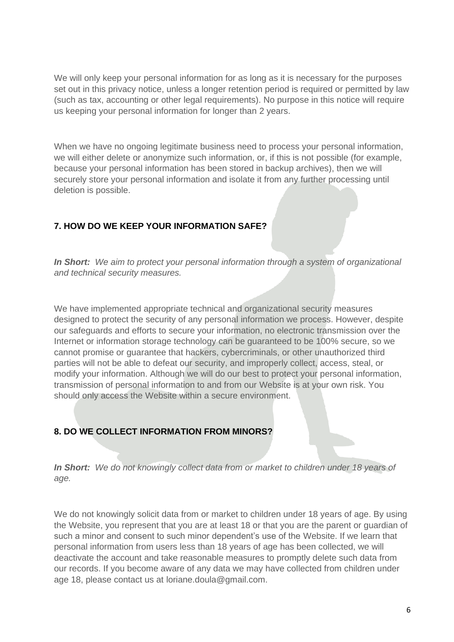We will only keep your personal information for as long as it is necessary for the purposes set out in this privacy notice, unless a longer retention period is required or permitted by law (such as tax, accounting or other legal requirements). No purpose in this notice will require us keeping your personal information for longer than 2 years.

When we have no ongoing legitimate business need to process your personal information, we will either delete or anonymize such information, or, if this is not possible (for example, because your personal information has been stored in backup archives), then we will securely store your personal information and isolate it from any further processing until deletion is possible.

## **7. HOW DO WE KEEP YOUR INFORMATION SAFE?**

*In Short: We aim to protect your personal information through a system of organizational and technical security measures.*

We have implemented appropriate technical and organizational security measures designed to protect the security of any personal information we process. However, despite our safeguards and efforts to secure your information, no electronic transmission over the Internet or information storage technology can be guaranteed to be 100% secure, so we cannot promise or guarantee that hackers, cybercriminals, or other unauthorized third parties will not be able to defeat our security, and improperly collect, access, steal, or modify your information. Although we will do our best to protect your personal information, transmission of personal information to and from our Website is at your own risk. You should only access the Website within a secure environment.

# **8. DO WE COLLECT INFORMATION FROM MINORS?**

*In Short: We do not knowingly collect data from or market to children under 18 years of age.*

We do not knowingly solicit data from or market to children under 18 years of age. By using the Website, you represent that you are at least 18 or that you are the parent or guardian of such a minor and consent to such minor dependent's use of the Website. If we learn that personal information from users less than 18 years of age has been collected, we will deactivate the account and take reasonable measures to promptly delete such data from our records. If you become aware of any data we may have collected from children under age 18, please contact us at loriane.doula@gmail.com.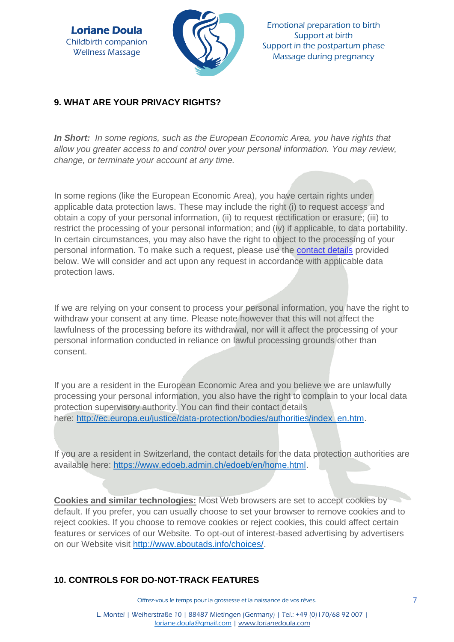

Emotional preparation to birth Support at birth Support in the postpartum phase Massage during pregnancy

## **9. WHAT ARE YOUR PRIVACY RIGHTS?**

*In Short: In some regions, such as the European Economic Area, you have rights that allow you greater access to and control over your personal information. You may review, change, or terminate your account at any time.*

In some regions (like the European Economic Area), you have certain rights under applicable data protection laws. These may include the right (i) to request access and obtain a copy of your personal information, (ii) to request rectification or erasure; (iii) to restrict the processing of your personal information; and (iv) if applicable, to data portability. In certain circumstances, you may also have the right to object to the processing of your personal information. To make such a request, please use the [contact details](https://app.termly.io/dashboard/website/604943/privacy-policy#contact) provided below. We will consider and act upon any request in accordance with applicable data protection laws.

If we are relying on your consent to process your personal information, you have the right to withdraw your consent at any time. Please note however that this will not affect the lawfulness of the processing before its withdrawal, nor will it affect the processing of your personal information conducted in reliance on lawful processing grounds other than consent.

If you are a resident in the European Economic Area and you believe we are unlawfully processing your personal information, you also have the right to complain to your local data protection supervisory authority. You can find their contact details here: [http://ec.europa.eu/justice/data-protection/bodies/authorities/index\\_en.htm.](http://ec.europa.eu/justice/data-protection/bodies/authorities/index_en.htm)

If you are a resident in Switzerland, the contact details for the data protection authorities are available here: [https://www.edoeb.admin.ch/edoeb/en/home.html.](https://www.edoeb.admin.ch/edoeb/en/home.html)

**Cookies and similar technologies:** Most Web browsers are set to accept cookies by default. If you prefer, you can usually choose to set your browser to remove cookies and to reject cookies. If you choose to remove cookies or reject cookies, this could affect certain features or services of our Website. To opt-out of interest-based advertising by advertisers on our Website visit [http://www.aboutads.info/choices/.](http://www.aboutads.info/choices/)

# **10. CONTROLS FOR DO-NOT-TRACK FEATURES**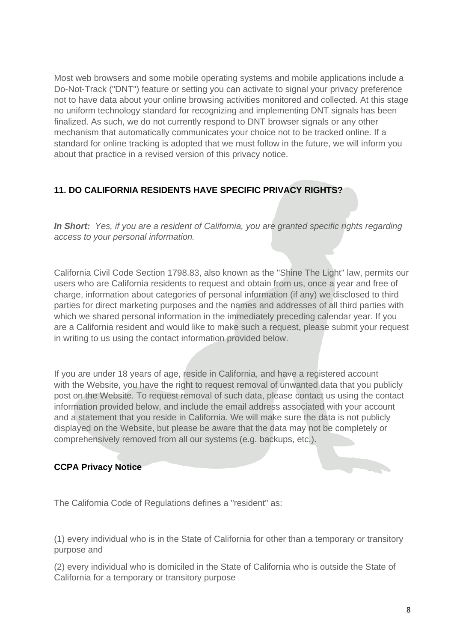Most web browsers and some mobile operating systems and mobile applications include a Do-Not-Track ("DNT") feature or setting you can activate to signal your privacy preference not to have data about your online browsing activities monitored and collected. At this stage no uniform technology standard for recognizing and implementing DNT signals has been finalized. As such, we do not currently respond to DNT browser signals or any other mechanism that automatically communicates your choice not to be tracked online. If a standard for online tracking is adopted that we must follow in the future, we will inform you about that practice in a revised version of this privacy notice.

## **11. DO CALIFORNIA RESIDENTS HAVE SPECIFIC PRIVACY RIGHTS?**

*In Short: Yes, if you are a resident of California, you are granted specific rights regarding access to your personal information.*

California Civil Code Section 1798.83, also known as the "Shine The Light" law, permits our users who are California residents to request and obtain from us, once a year and free of charge, information about categories of personal information (if any) we disclosed to third parties for direct marketing purposes and the names and addresses of all third parties with which we shared personal information in the immediately preceding calendar year. If you are a California resident and would like to make such a request, please submit your request in writing to us using the contact information provided below.

If you are under 18 years of age, reside in California, and have a registered account with the Website, you have the right to request removal of unwanted data that you publicly post on the Website. To request removal of such data, please contact us using the contact information provided below, and include the email address associated with your account and a statement that you reside in California. We will make sure the data is not publicly displayed on the Website, but please be aware that the data may not be completely or comprehensively removed from all our systems (e.g. backups, etc.).

## **CCPA Privacy Notice**

The California Code of Regulations defines a "resident" as:

(1) every individual who is in the State of California for other than a temporary or transitory purpose and

(2) every individual who is domiciled in the State of California who is outside the State of California for a temporary or transitory purpose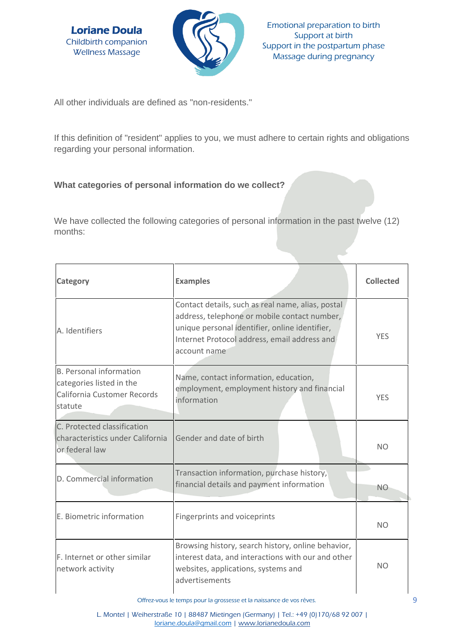



All other individuals are defined as "non-residents."

If this definition of "resident" applies to you, we must adhere to certain rights and obligations regarding your personal information.

## **What categories of personal information do we collect?**

We have collected the following categories of personal information in the past twelve (12) months:

| Category                                                                                             | <b>Examples</b>                                                                                                                                                                                                     | <b>Collected</b> |
|------------------------------------------------------------------------------------------------------|---------------------------------------------------------------------------------------------------------------------------------------------------------------------------------------------------------------------|------------------|
| A. Identifiers                                                                                       | Contact details, such as real name, alias, postal<br>address, telephone or mobile contact number,<br>unique personal identifier, online identifier,<br>Internet Protocol address, email address and<br>account name | <b>YES</b>       |
| <b>B. Personal information</b><br>categories listed in the<br>California Customer Records<br>statute | Name, contact information, education,<br>employment, employment history and financial<br>information                                                                                                                | <b>YES</b>       |
| C. Protected classification<br>characteristics under California<br>or federal law                    | Gender and date of birth                                                                                                                                                                                            | N <sub>O</sub>   |
| D. Commercial information                                                                            | Transaction information, purchase history,<br>financial details and payment information                                                                                                                             | N <sub>O</sub>   |
| E. Biometric information                                                                             | Fingerprints and voiceprints                                                                                                                                                                                        | N <sub>O</sub>   |
| F. Internet or other similar<br>network activity                                                     | Browsing history, search history, online behavior,<br>interest data, and interactions with our and other<br>websites, applications, systems and<br>advertisements                                                   | N <sub>O</sub>   |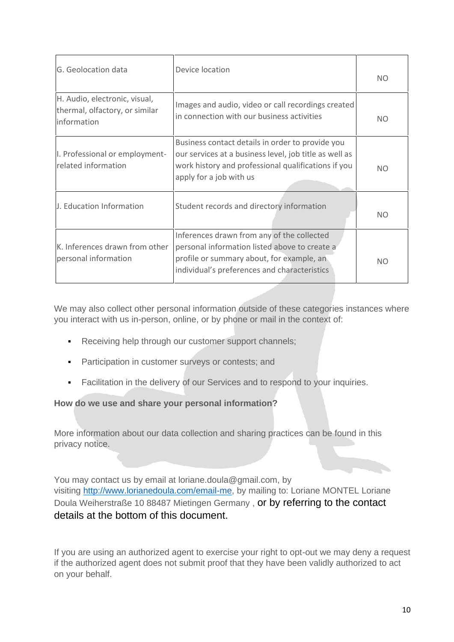| G. Geolocation data                                                            | Device location                                                                                                                                                                              | NO.            |
|--------------------------------------------------------------------------------|----------------------------------------------------------------------------------------------------------------------------------------------------------------------------------------------|----------------|
| H. Audio, electronic, visual,<br>thermal, olfactory, or similar<br>information | Images and audio, video or call recordings created<br>in connection with our business activities                                                                                             | NO.            |
| I. Professional or employment-<br>related information                          | Business contact details in order to provide you<br>our services at a business level, job title as well as<br>work history and professional qualifications if you<br>apply for a job with us | NO.            |
| J. Education Information                                                       | Student records and directory information                                                                                                                                                    | N <sub>O</sub> |
| K. Inferences drawn from other<br>personal information                         | Inferences drawn from any of the collected<br>personal information listed above to create a<br>profile or summary about, for example, an<br>individual's preferences and characteristics     | NO.            |

We may also collect other personal information outside of these categories instances where you interact with us in-person, online, or by phone or mail in the context of:

- **Receiving help through our customer support channels;**
- **Participation in customer surveys or contests; and**
- Facilitation in the delivery of our Services and to respond to your inquiries.

#### **How do we use and share your personal information?**

More information about our data collection and sharing practices can be found in this privacy notice.

You may contact us by email at loriane.doula@gmail.com, by visiting [http://www.lorianedoula.com/email-me,](http://www.lorianedoula.com/email-me) by mailing to: Loriane MONTEL Loriane Doula Weiherstraße 10 88487 Mietingen Germany , or by referring to the contact details at the bottom of this document.

If you are using an authorized agent to exercise your right to opt-out we may deny a request if the authorized agent does not submit proof that they have been validly authorized to act on your behalf.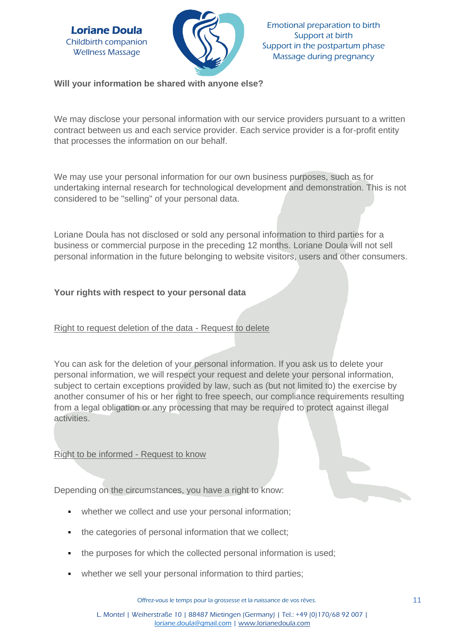

Emotional preparation to birth Support at birth Support in the postpartum phase Massage during pregnancy

**Will your information be shared with anyone else?**

We may disclose your personal information with our service providers pursuant to a written contract between us and each service provider. Each service provider is a for-profit entity that processes the information on our behalf.

We may use your personal information for our own business purposes, such as for undertaking internal research for technological development and demonstration. This is not considered to be "selling" of your personal data.

Loriane Doula has not disclosed or sold any personal information to third parties for a business or commercial purpose in the preceding 12 months. Loriane Doula will not sell personal information in the future belonging to website visitors, users and other consumers.

## **Your rights with respect to your personal data**

## Right to request deletion of the data - Request to delete

You can ask for the deletion of your personal information. If you ask us to delete your personal information, we will respect your request and delete your personal information, subject to certain exceptions provided by law, such as (but not limited to) the exercise by another consumer of his or her right to free speech, our compliance requirements resulting from a legal obligation or any processing that may be required to protect against illegal activities.

Right to be informed - Request to know

Depending on the circumstances, you have a right to know:

- whether we collect and use your personal information;
- the categories of personal information that we collect;
- the purposes for which the collected personal information is used;
- whether we sell your personal information to third parties;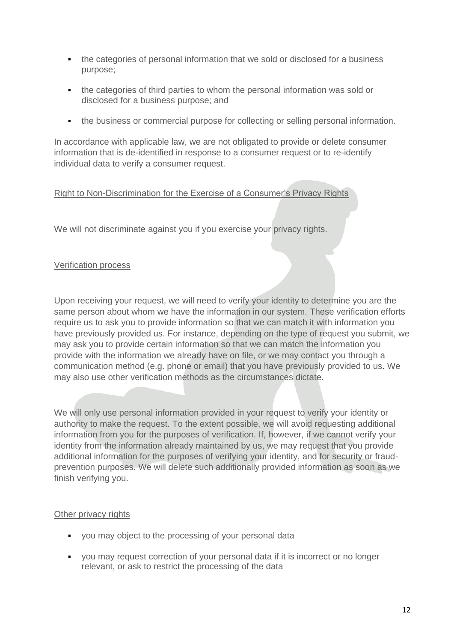- the categories of personal information that we sold or disclosed for a business purpose;
- the categories of third parties to whom the personal information was sold or disclosed for a business purpose; and
- the business or commercial purpose for collecting or selling personal information.

In accordance with applicable law, we are not obligated to provide or delete consumer information that is de-identified in response to a consumer request or to re-identify individual data to verify a consumer request.

### Right to Non-Discrimination for the Exercise of a Consumer's Privacy Rights

We will not discriminate against you if you exercise your privacy rights.

#### Verification process

Upon receiving your request, we will need to verify your identity to determine you are the same person about whom we have the information in our system. These verification efforts require us to ask you to provide information so that we can match it with information you have previously provided us. For instance, depending on the type of request you submit, we may ask you to provide certain information so that we can match the information you provide with the information we already have on file, or we may contact you through a communication method (e.g. phone or email) that you have previously provided to us. We may also use other verification methods as the circumstances dictate.

We will only use personal information provided in your request to verify your identity or authority to make the request. To the extent possible, we will avoid requesting additional information from you for the purposes of verification. If, however, if we cannot verify your identity from the information already maintained by us, we may request that you provide additional information for the purposes of verifying your identity, and for security or fraudprevention purposes. We will delete such additionally provided information as soon as we finish verifying you.

#### Other privacy rights

- you may object to the processing of your personal data
- you may request correction of your personal data if it is incorrect or no longer relevant, or ask to restrict the processing of the data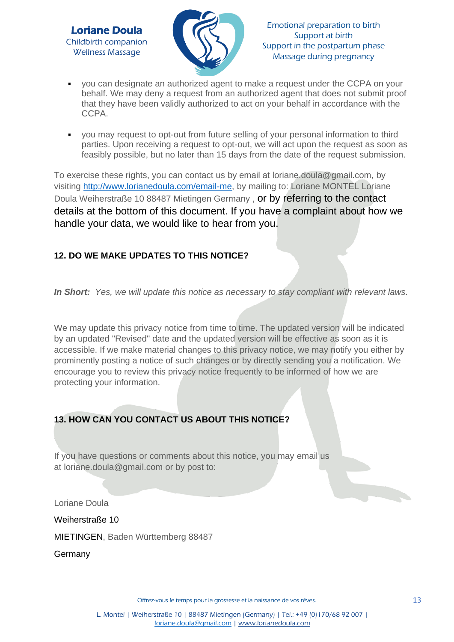

- you can designate an authorized agent to make a request under the CCPA on your behalf. We may deny a request from an authorized agent that does not submit proof that they have been validly authorized to act on your behalf in accordance with the CCPA.
- you may request to opt-out from future selling of your personal information to third parties. Upon receiving a request to opt-out, we will act upon the request as soon as feasibly possible, but no later than 15 days from the date of the request submission.

To exercise these rights, you can contact us by email at loriane.doula@gmail.com, by visiting [http://www.lorianedoula.com/email-me,](http://www.lorianedoula.com/email-me) by mailing to: Loriane MONTEL Loriane Doula Weiherstraße 10 88487 Mietingen Germany , or by referring to the contact details at the bottom of this document. If you have a complaint about how we handle your data, we would like to hear from you.

# **12. DO WE MAKE UPDATES TO THIS NOTICE?**

*In Short: Yes, we will update this notice as necessary to stay compliant with relevant laws.*

We may update this privacy notice from time to time. The updated version will be indicated by an updated "Revised" date and the updated version will be effective as soon as it is accessible. If we make material changes to this privacy notice, we may notify you either by prominently posting a notice of such changes or by directly sending you a notification. We encourage you to review this privacy notice frequently to be informed of how we are protecting your information.

# **13. HOW CAN YOU CONTACT US ABOUT THIS NOTICE?**

If you have questions or comments about this notice, you may email us at loriane.doula@gmail.com or by post to:

Loriane Doula

Weiherstraße 10

MIETINGEN, Baden Württemberg 88487

Germany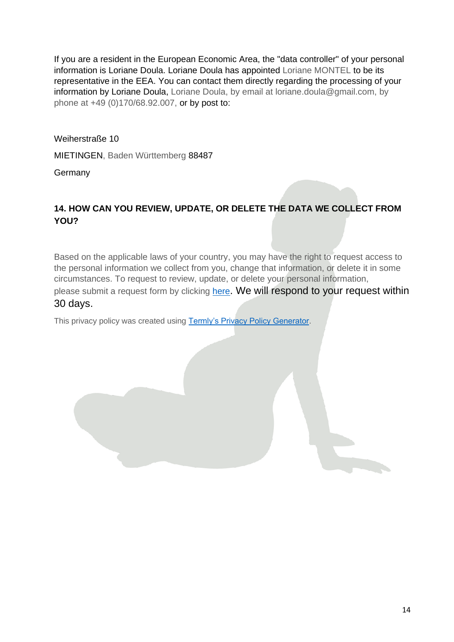If you are a resident in the European Economic Area, the "data controller" of your personal information is Loriane Doula. Loriane Doula has appointed Loriane MONTEL to be its representative in the EEA. You can contact them directly regarding the processing of your information by Loriane Doula, Loriane Doula, by email at loriane.doula@gmail.com, by phone at +49 (0)170/68.92.007, or by post to:

Weiherstraße 10

MIETINGEN, Baden Württemberg 88487

**Germany** 

# **14. HOW CAN YOU REVIEW, UPDATE, OR DELETE THE DATA WE COLLECT FROM YOU?**

Based on the applicable laws of your country, you may have the right to request access to the personal information we collect from you, change that information, or delete it in some circumstances. To request to review, update, or delete your personal information, please submit a request form by clicking [here](https://app.termly.io/notify/e2badd6b-2a2e-4d34-a98b-60a1ebabcde3). We will respond to your request within 30 days.

This privacy policy was created using [Termly's Privacy Policy Generator.](https://termly.io/products/privacy-policy-generator/?ftseo)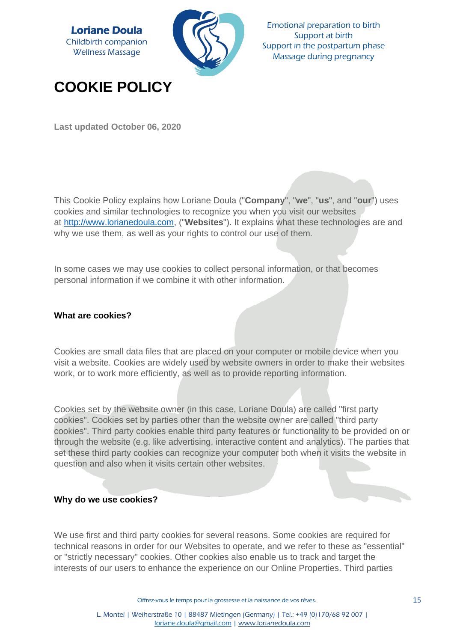

Emotional preparation to birth Support at birth Support in the postpartum phase Massage during pregnancy

# **COOKIE POLICY**

**Last updated October 06, 2020**

This Cookie Policy explains how Loriane Doula ("**Company**", "**we**", "**us**", and "**our**") uses cookies and similar technologies to recognize you when you visit our websites at [http://www.lorianedoula.com,](http://www.lorianedoula.com/) ("**Websites**"). It explains what these technologies are and why we use them, as well as your rights to control our use of them.

In some cases we may use cookies to collect personal information, or that becomes personal information if we combine it with other information.

#### **What are cookies?**

Cookies are small data files that are placed on your computer or mobile device when you visit a website. Cookies are widely used by website owners in order to make their websites work, or to work more efficiently, as well as to provide reporting information.

Cookies set by the website owner (in this case, Loriane Doula) are called "first party cookies". Cookies set by parties other than the website owner are called "third party cookies". Third party cookies enable third party features or functionality to be provided on or through the website (e.g. like advertising, interactive content and analytics). The parties that set these third party cookies can recognize your computer both when it visits the website in question and also when it visits certain other websites.

#### **Why do we use cookies?**

We use first and third party cookies for several reasons. Some cookies are required for technical reasons in order for our Websites to operate, and we refer to these as "essential" or "strictly necessary" cookies. Other cookies also enable us to track and target the interests of our users to enhance the experience on our Online Properties. Third parties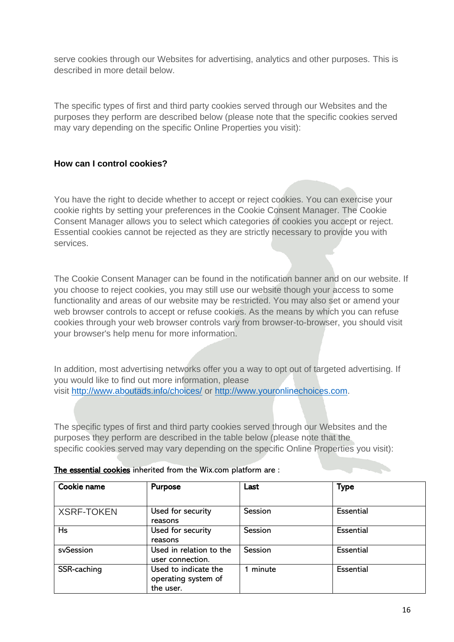serve cookies through our Websites for advertising, analytics and other purposes. This is described in more detail below.

The specific types of first and third party cookies served through our Websites and the purposes they perform are described below (please note that the specific cookies served may vary depending on the specific Online Properties you visit):

### **How can I control cookies?**

You have the right to decide whether to accept or reject cookies. You can exercise your cookie rights by setting your preferences in the Cookie Consent Manager. The Cookie Consent Manager allows you to select which categories of cookies you accept or reject. Essential cookies cannot be rejected as they are strictly necessary to provide you with services.

The Cookie Consent Manager can be found in the notification banner and on our website. If you choose to reject cookies, you may still use our website though your access to some functionality and areas of our website may be restricted. You may also set or amend your web browser controls to accept or refuse cookies. As the means by which you can refuse cookies through your web browser controls vary from browser-to-browser, you should visit your browser's help menu for more information.

In addition, most advertising networks offer you a way to opt out of targeted advertising. If you would like to find out more information, please visit <http://www.aboutads.info/choices/> or [http://www.youronlinechoices.com.](http://www.youronlinechoices.com/)

The specific types of first and third party cookies served through our Websites and the purposes they perform are described in the table below (please note that the specific cookies served may vary depending on the specific Online Properties you visit):

| Cookie name       | Purpose                                                  | Last    | <b>Type</b> |
|-------------------|----------------------------------------------------------|---------|-------------|
| <b>XSRF-TOKEN</b> | Used for security                                        | Session | Essential   |
| <b>Hs</b>         | reasons<br>Used for security<br>reasons                  | Session | Essential   |
| svSession         | Used in relation to the<br>user connection.              | Session | Essential   |
| SSR-caching       | Used to indicate the<br>operating system of<br>the user. | minute  | Essential   |

#### The essential cookies inherited from the Wix.com platform are :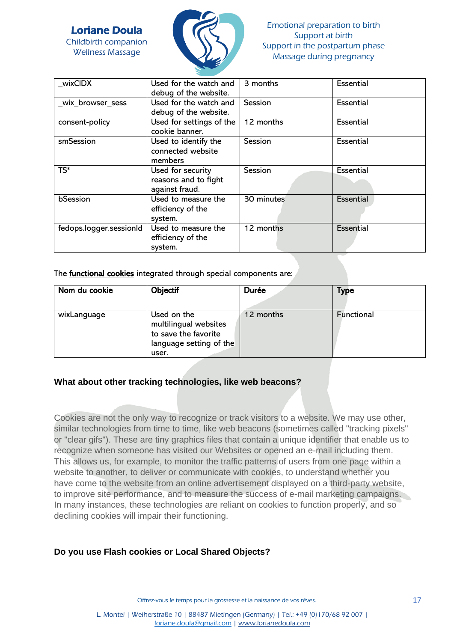



| wixCIDX                 | Used for the watch and<br>debug of the website.             | 3 months   | Essential        |
|-------------------------|-------------------------------------------------------------|------------|------------------|
| _wix_browser_sess       | Used for the watch and<br>debug of the website.             | Session    | <b>Essential</b> |
| consent-policy          | Used for settings of the<br>cookie banner.                  | 12 months  | <b>Essential</b> |
| smSession               | Used to identify the<br>connected website<br>members        | Session    | <b>Essential</b> |
| $TS^*$                  | Used for security<br>reasons and to fight<br>against fraud. | Session    | Essential        |
| bSession                | Used to measure the<br>efficiency of the<br>system.         | 30 minutes | <b>Essential</b> |
| fedops.logger.sessionId | Used to measure the<br>efficiency of the<br>system.         | 12 months  | <b>Essential</b> |

The **functional cookies** integrated through special components are:

| Nom du cookie | Objectif                                                                                         | Durée     | <b>Type</b>       |
|---------------|--------------------------------------------------------------------------------------------------|-----------|-------------------|
| wixLanguage   | Used on the<br>multilingual websites<br>to save the favorite<br>language setting of the<br>user. | 12 months | <b>Functional</b> |

#### **What about other tracking technologies, like web beacons?**

Cookies are not the only way to recognize or track visitors to a website. We may use other, similar technologies from time to time, like web beacons (sometimes called "tracking pixels" or "clear gifs"). These are tiny graphics files that contain a unique identifier that enable us to recognize when someone has visited our Websites or opened an e-mail including them. This allows us, for example, to monitor the traffic patterns of users from one page within a website to another, to deliver or communicate with cookies, to understand whether you have come to the website from an online advertisement displayed on a third-party website, to improve site performance, and to measure the success of e-mail marketing campaigns. In many instances, these technologies are reliant on cookies to function properly, and so declining cookies will impair their functioning.

#### **Do you use Flash cookies or Local Shared Objects?**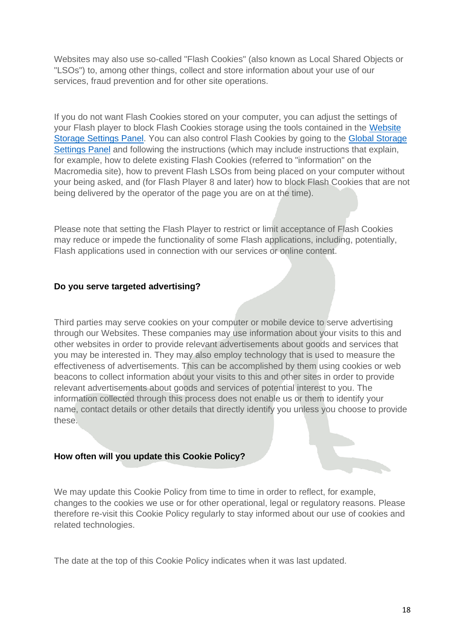Websites may also use so-called "Flash Cookies" (also known as Local Shared Objects or "LSOs") to, among other things, collect and store information about your use of our services, fraud prevention and for other site operations.

If you do not want Flash Cookies stored on your computer, you can adjust the settings of your Flash player to block Flash Cookies storage using the tools contained in the [Website](http://www.macromedia.com/support/documentation/en/flashplayer/help/settings_manager07.html#_blank)  [Storage Settings Panel.](http://www.macromedia.com/support/documentation/en/flashplayer/help/settings_manager07.html#_blank) You can also control Flash Cookies by going to the [Global Storage](http://www.macromedia.com/support/documentation/en/flashplayer/help/settings_manager03.html#_blank)  [Settings Panel](http://www.macromedia.com/support/documentation/en/flashplayer/help/settings_manager03.html#_blank) and following the instructions (which may include instructions that explain, for example, how to delete existing Flash Cookies (referred to "information" on the Macromedia site), how to prevent Flash LSOs from being placed on your computer without your being asked, and (for Flash Player 8 and later) how to block Flash Cookies that are not being delivered by the operator of the page you are on at the time).

Please note that setting the Flash Player to restrict or limit acceptance of Flash Cookies may reduce or impede the functionality of some Flash applications, including, potentially, Flash applications used in connection with our services or online content.

#### **Do you serve targeted advertising?**

Third parties may serve cookies on your computer or mobile device to serve advertising through our Websites. These companies may use information about your visits to this and other websites in order to provide relevant advertisements about goods and services that you may be interested in. They may also employ technology that is used to measure the effectiveness of advertisements. This can be accomplished by them using cookies or web beacons to collect information about your visits to this and other sites in order to provide relevant advertisements about goods and services of potential interest to you. The information collected through this process does not enable us or them to identify your name, contact details or other details that directly identify you unless you choose to provide these.

#### **How often will you update this Cookie Policy?**

We may update this Cookie Policy from time to time in order to reflect, for example, changes to the cookies we use or for other operational, legal or regulatory reasons. Please therefore re-visit this Cookie Policy regularly to stay informed about our use of cookies and related technologies.

The date at the top of this Cookie Policy indicates when it was last updated.